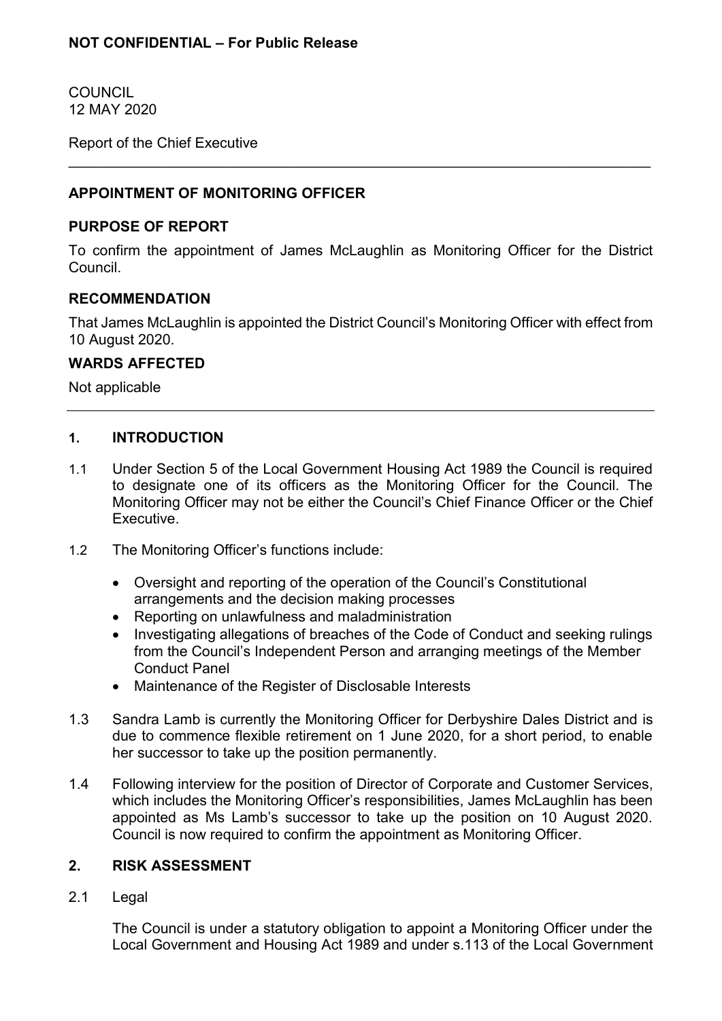COUNCIL 12 MAY 2020

Report of the Chief Executive

# **APPOINTMENT OF MONITORING OFFICER**

## **PURPOSE OF REPORT**

To confirm the appointment of James McLaughlin as Monitoring Officer for the District Council.

 $\_$  , and the contribution of the contribution of  $\mathcal{L}_\mathcal{A}$  , and the contribution of  $\mathcal{L}_\mathcal{A}$ 

## **RECOMMENDATION**

That James McLaughlin is appointed the District Council's Monitoring Officer with effect from 10 August 2020.

## **WARDS AFFECTED**

Not applicable

## **1. INTRODUCTION**

- 1.1 Under Section 5 of the Local Government Housing Act 1989 the Council is required to designate one of its officers as the Monitoring Officer for the Council. The Monitoring Officer may not be either the Council's Chief Finance Officer or the Chief Executive.
- 1.2 The Monitoring Officer's functions include:
	- Oversight and reporting of the operation of the Council's Constitutional arrangements and the decision making processes
	- Reporting on unlawfulness and maladministration
	- Investigating allegations of breaches of the Code of Conduct and seeking rulings from the Council's Independent Person and arranging meetings of the Member Conduct Panel
	- Maintenance of the Register of Disclosable Interests
- 1.3 Sandra Lamb is currently the Monitoring Officer for Derbyshire Dales District and is due to commence flexible retirement on 1 June 2020, for a short period, to enable her successor to take up the position permanently.
- 1.4 Following interview for the position of Director of Corporate and Customer Services, which includes the Monitoring Officer's responsibilities, James McLaughlin has been appointed as Ms Lamb's successor to take up the position on 10 August 2020. Council is now required to confirm the appointment as Monitoring Officer.

## **2. RISK ASSESSMENT**

2.1 Legal

The Council is under a statutory obligation to appoint a Monitoring Officer under the Local Government and Housing Act 1989 and under s.113 of the Local Government